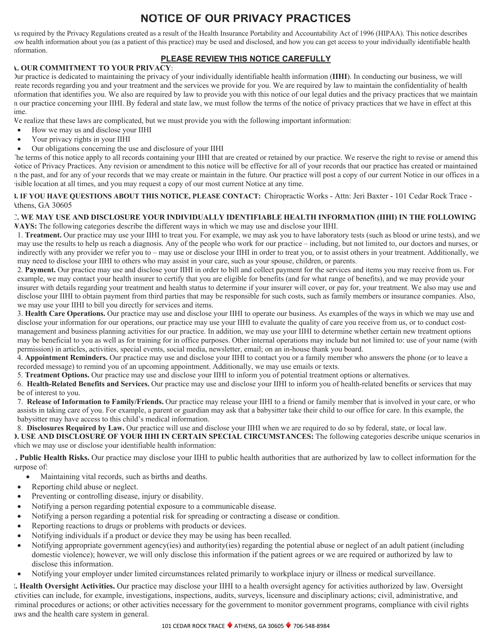# **NOTICE OF OUR PRIVACY PRACTICES**

As required by the Privacy Regulations created as a result of the Health Insurance Portability and Accountability Act of 1996 (HIPAA). This notice describes how health information about you (as a patient of this practice) may be used and disclosed, and how you can get access to your individually identifiable health information.

## **PLEASE REVIEW THIS NOTICE CAREFULLY**

### **A. OUR COMMITMENT TO YOUR PRIVACY**:

Our practice is dedicated to maintaining the privacy of your individually identifiable health information (**IIHI**). In conducting our business, we will reate records regarding you and your treatment and the services we provide for you. We are required by law to maintain the confidentiality of health information that identifies you. We also are required by law to provide you with this notice of our legal duties and the privacy practices that we maintain in our practice concerning your IIHI. By federal and state law, we must follow the terms of the notice of privacy practices that we have in effect at this ime.

We realize that these laws are complicated, but we must provide you with the following important information:

- How we may us and disclose your IIHI
- Your privacy rights in your IIHI
- Our obligations concerning the use and disclosure of your IIHI

The terms of this notice apply to all records containing your IIHI that are created or retained by our practice. We reserve the right to revise or amend this Notice of Privacy Practices. Any revision or amendment to this notice will be effective for all of your records that our practice has created or maintained in the past, and for any of your records that we may create or maintain in the future. Our practice will post a copy of our current Notice in our offices in a visible location at all times, and you may request a copy of our most current Notice at any time.

**B. IF YOU HAVE QUESTIONS ABOUT THIS NOTICE, PLEASE CONTACT:** Chiropractic Works - Attn: Jeri Baxter - 101 Cedar Rock Trace - Athens, GA 30605

#### **C. WE MAY USE AND DISCLOSURE YOUR INDIVIDUALLY IDENTIFIABLE HEALTH INFORMATION (IIHI) IN THE FOLLOWING WAYS:** The following categories describe the different ways in which we may use and disclose your IIHI.

1. **Treatment.** Our practice may use your IIHI to treat you. For example, we may ask you to have laboratory tests (such as blood or urine tests), and we may use the results to help us reach a diagnosis. Any of the people who work for our practice – including, but not limited to, our doctors and nurses, or indirectly with any provider we refer you to – may use or disclose your IIHI in order to treat you, or to assist others in your treatment. Additionally, we may need to disclose your IIHI to others who may assist in your care, such as your spouse, children, or parents.

2. **Payment.** Our practice may use and disclose your IIHI in order to bill and collect payment for the services and items you may receive from us. For example, we may contact your health insurer to certify that you are eligible for benefits (and for what range of benefits), and we may provide your insurer with details regarding your treatment and health status to determine if your insurer will cover, or pay for, your treatment. We also may use and disclose your IIHI to obtain payment from third parties that may be responsible for such costs, such as family members or insurance companies. Also, we may use your IIHI to bill you directly for services and items.

3. **Health Care Operations.** Our practice may use and disclose your IIHI to operate our business. As examples of the ways in which we may use and disclose your information for our operations, our practice may use your IIHI to evaluate the quality of care you receive from us, or to conduct costmanagement and business planning activities for our practice. In addition, we may use your IIHI to determine whether certain new treatment options may be beneficial to you as well as for training for in office purposes. Other internal operations may include but not limited to: use of your name (with permission) in articles, activities, special events, social media, newsletter, email; on an in-house thank you board.

4. **Appointment Reminders.** Our practice may use and disclose your IIHI to contact you or a family member who answers the phone (or to leave a recorded message) to remind you of an upcoming appointment. Additionally, we may use emails or texts.

5. **Treatment Options.** Our practice may use and disclose your IIHI to inform you of potential treatment options or alternatives.

6. **Health-Related Benefits and Services.** Our practice may use and disclose your IIHI to inform you of health-related benefits or services that may be of interest to you.

7. **Release of Information to Family/Friends.** Our practice may release your IIHI to a friend or family member that is involved in your care, or who assists in taking care of you. For example, a parent or guardian may ask that a babysitter take their child to our office for care. In this example, the babysitter may have access to this child's medical information.

8. **Disclosures Required by Law.** Our practice will use and disclose your IIHI when we are required to do so by federal, state, or local law.

**D. USE AND DISCLOSURE OF YOUR IIHI IN CERTAIN SPECIAL CIRCUMSTANCES:** The following categories describe unique scenarios in which we may use or disclose your identifiable health information:

**1. Public Health Risks.** Our practice may disclose your IIHI to public health authorities that are authorized by law to collect information for the purpose of:

- Maintaining vital records, such as births and deaths.
- Reporting child abuse or neglect.
- Preventing or controlling disease, injury or disability.
- Notifying a person regarding potential exposure to a communicable disease.
- Notifying a person regarding a potential risk for spreading or contracting a disease or condition.
- Reporting reactions to drugs or problems with products or devices.
- Notifying individuals if a product or device they may be using has been recalled.
- Notifying appropriate government agency(ies) and authority(ies) regarding the potential abuse or neglect of an adult patient (including domestic violence); however, we will only disclose this information if the patient agrees or we are required or authorized by law to disclose this information.
- Notifying your employer under limited circumstances related primarily to workplace injury or illness or medical surveillance.

**2. Health Oversight Activities.** Our practice may disclose your IIHI to a health oversight agency for activities authorized by law. Oversight activities can include, for example, investigations, inspections, audits, surveys, licensure and disciplinary actions; civil, administrative, and criminal procedures or actions; or other activities necessary for the government to monitor government programs, compliance with civil rights aws and the health care system in general.